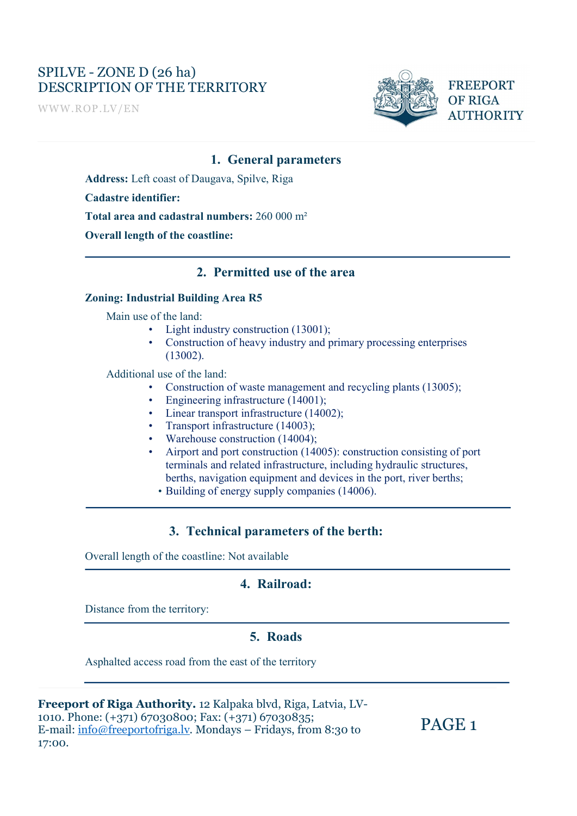# SPILVE - ZONE D (26 ha) DESCRIPTION OF THE TERRITORY FREEPORT

WWW.ROP.LV/EN



**AUTHORITY** 

PAGE 1

#### 1. General parameters

Address: Left coast of Daugava, Spilve, Riga

Cadastre identifier:

# Total area and cadastral numbers: 260 000 m² Overall length of the coastline:

#### 2. Permitted use of the area

#### Zoning: Industrial Building Area R5

- 
- Main use of the land:<br>
Light industry construction (13001);<br>
Construction of heavy industry and primary processing enterprises (13002).

- Additional use of the land:<br>
Construction of waste management and recycling plants (13005);<br>
Engineering infrastructure (14001);<br>
Linear transport infrastructure (14002);<br>
Transport infrastructure (14003);<br>
Wareh
	-
	-
	-
	-
	- terminals and related infrastructure, including hydraulic structures, berths, navigation equipment and devices in the port, river berths; • Building of energy supply companies (14006).
		-

#### 3. Technical parameters of the berth:

Overall length of the coastline: Not available

#### 4. Railroad:

Distance from the territory:

 $\overline{a}$ 

#### 5. Roads

Asphalted access road from the east of the territory

| Freeport of Riga Authority. 12 Kalpaka blvd, Riga, Latvia, LV-  |           |
|-----------------------------------------------------------------|-----------|
| 1010. Phone: (+371) 67030800; Fax: (+371) 67030835;             | $P\angle$ |
| E-mail: info@freeportofriga.lv. Mondays – Fridays, from 8:30 to |           |
| 17:00.                                                          |           |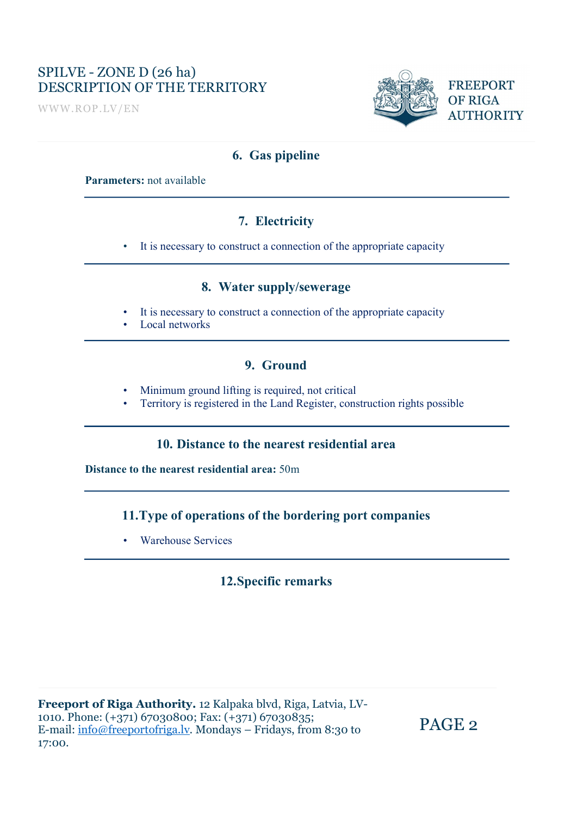# SPILVE - ZONE D (26 ha) DESCRIPTION OF THE TERRITORY FREEPORT

WWW.ROP.LV/EN



**AUTHORITY** 

#### 6. Gas pipeline

#### Parameters: not available

### 7. Electricity

• It is necessary to construct a connection of the appropriate capacity

#### 8. Water supply/sewerage

- It is necessary to construct a connection of the appropriate capacity Local networks
- 

### 9. Ground

- 
- Minimum ground lifting is required, not critical Territory is registered in the Land Register, construction rights possible

#### 10. Distance to the nearest residential area

Distance to the nearest residential area: 50m

#### 11.Type of operations of the bordering port companies

• Warehouse Services

### 12.Specific remarks

Freeport of Riga Authority. 12 Kalpaka blvd, Riga, Latvia, LV-1010. Phone: (+371) 67030800; Fax: (+371) 67030835; E-mail: info@freeportofriga.lv. Mondays – Fridays, from 8:30 to 17:00.